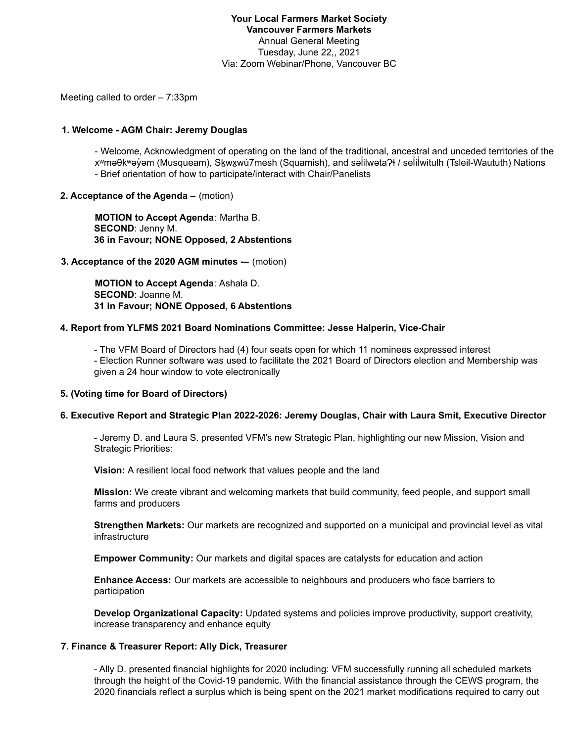### **Your Local Farmers Market Society Vancouver Farmers Markets** Annual General Meeting Tuesday, June 22,, 2021 Via: Zoom Webinar/Phone, Vancouver BC

Meeting called to order – 7:33pm

#### **1. Welcome - AGM Chair: Jeremy Douglas**

- Welcome, Acknowledgment of operating on the land of the traditional, ancestral and unceded territories of the xʷməθkʷəy̓əm (Musqueam), Skwx̓wú7mesh (Squamish), and səlilwəta?ł / selilwitulh (Tsleil-Waututh) Nations ̓ - Brief orientation of how to participate/interact with Chair/Panelists

### **2. Acceptance of the Agenda –** (motion)

**MOTION to Accept Agenda**: Martha B. **SECOND**: Jenny M. **36 in Favour; NONE Opposed, 2 Abstentions**

#### **3. Acceptance of the 2020 AGM minutes -–** (motion)

**MOTION to Accept Agenda**: Ashala D. **SECOND**: Joanne M. **31 in Favour; NONE Opposed, 6 Abstentions**

### **4. Report from YLFMS 2021 Board Nominations Committee: Jesse Halperin, Vice-Chair**

- The VFM Board of Directors had (4) four seats open for which 11 nominees expressed interest

- Election Runner software was used to facilitate the 2021 Board of Directors election and Membership was given a 24 hour window to vote electronically

#### **5. (Voting time for Board of Directors)**

#### **6. Executive Report and Strategic Plan 2022-2026: Jeremy Douglas, Chair with Laura Smit, Executive Director**

- Jeremy D. and Laura S. presented VFM's new Strategic Plan, highlighting our new Mission, Vision and Strategic Priorities:

**Vision:** A resilient local food network that values people and the land

**Mission:** We create vibrant and welcoming markets that build community, feed people, and support small farms and producers

**Strengthen Markets:** Our markets are recognized and supported on a municipal and provincial level as vital infrastructure

**Empower Community:** Our markets and digital spaces are catalysts for education and action

**Enhance Access:** Our markets are accessible to neighbours and producers who face barriers to participation

**Develop Organizational Capacity:** Updated systems and policies improve productivity, support creativity, increase transparency and enhance equity

#### **7. Finance & Treasurer Report: Ally Dick, Treasurer**

- Ally D. presented financial highlights for 2020 including: VFM successfully running all scheduled markets through the height of the Covid-19 pandemic. With the financial assistance through the CEWS program, the 2020 financials reflect a surplus which is being spent on the 2021 market modifications required to carry out